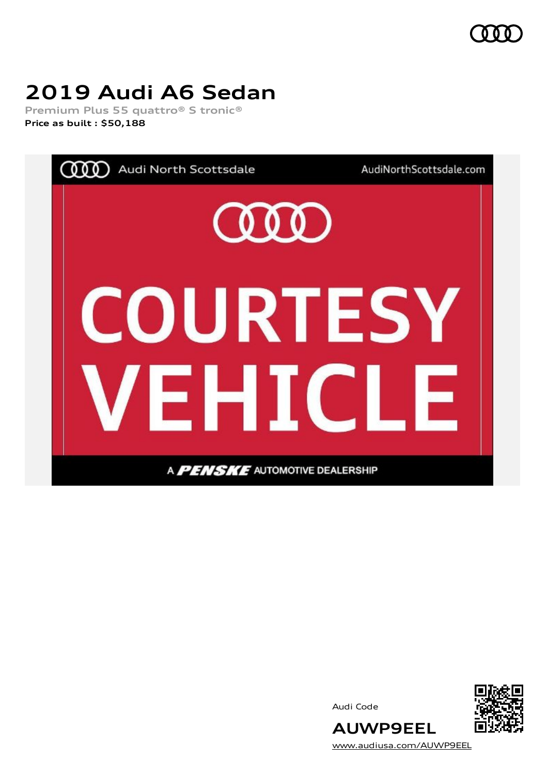

# **2019 Audi A6 Sedan**

**Premium Plus 55 quattro® S tronic® Price as built [:](#page-8-0) \$50,188**



Audi Code



[www.audiusa.com/AUWP9EEL](https://www.audiusa.com/AUWP9EEL)

**AUWP9EEL**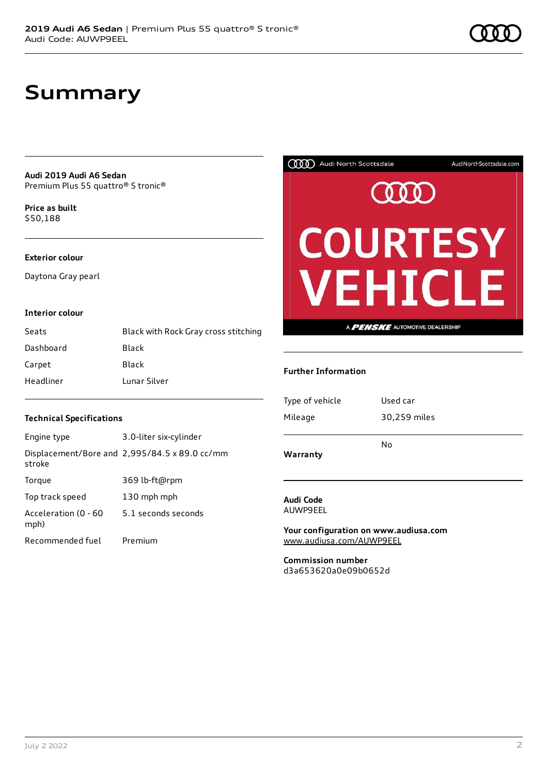### **Summary**

**Audi 2019 Audi A6 Sedan** Premium Plus 55 quattro® S tronic®

**Price as buil[t](#page-8-0)** \$50,188

#### **Exterior colour**

Daytona Gray pearl

#### **Interior colour**

| Seats     | Black with Rock Gray cross stitching |
|-----------|--------------------------------------|
| Dashboard | Black                                |
| Carpet    | Black                                |
| Headliner | Lunar Silver                         |



#### **Further Information**

| Type of vehicle | Used car     |
|-----------------|--------------|
| Mileage         | 30,259 miles |
|                 | No           |
| Warranty        |              |

### **Audi Code**

AUWP9EEL

**Your configuration on www.audiusa.com** [www.audiusa.com/AUWP9EEL](https://www.audiusa.com/AUWP9EEL)

**Commission number** d3a653620a0e09b0652d

#### **Technical Specifications**

| Engine type                  | 3.0-liter six-cylinder                        |
|------------------------------|-----------------------------------------------|
| stroke                       | Displacement/Bore and 2,995/84.5 x 89.0 cc/mm |
| Torque                       | 369 lb-ft@rpm                                 |
| Top track speed              | 130 mph mph                                   |
| Acceleration (0 - 60<br>mph) | 5.1 seconds seconds                           |
| Recommended fuel             | Premium                                       |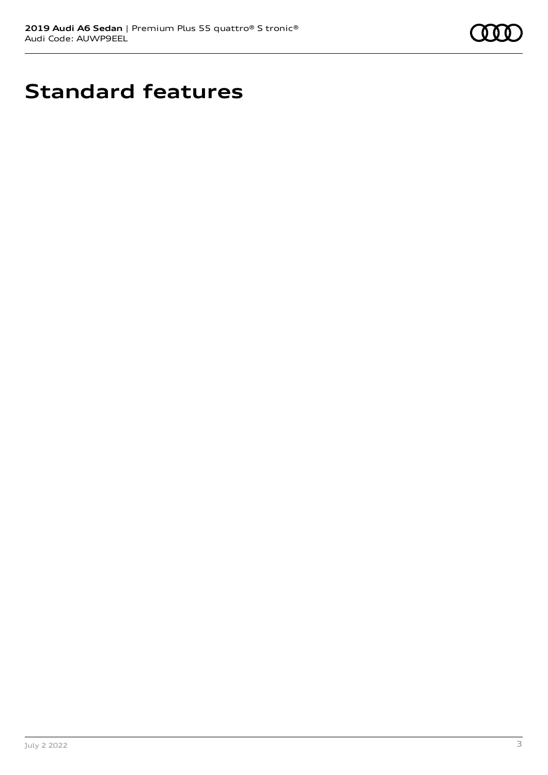

# **Standard features**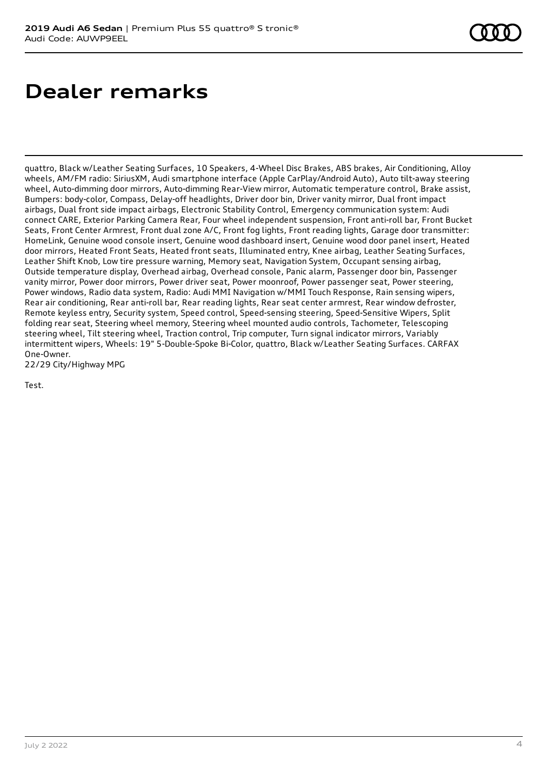# **Dealer remarks**

quattro, Black w/Leather Seating Surfaces, 10 Speakers, 4-Wheel Disc Brakes, ABS brakes, Air Conditioning, Alloy wheels, AM/FM radio: SiriusXM, Audi smartphone interface (Apple CarPlay/Android Auto), Auto tilt-away steering wheel, Auto-dimming door mirrors, Auto-dimming Rear-View mirror, Automatic temperature control, Brake assist, Bumpers: body-color, Compass, Delay-off headlights, Driver door bin, Driver vanity mirror, Dual front impact airbags, Dual front side impact airbags, Electronic Stability Control, Emergency communication system: Audi connect CARE, Exterior Parking Camera Rear, Four wheel independent suspension, Front anti-roll bar, Front Bucket Seats, Front Center Armrest, Front dual zone A/C, Front fog lights, Front reading lights, Garage door transmitter: HomeLink, Genuine wood console insert, Genuine wood dashboard insert, Genuine wood door panel insert, Heated door mirrors, Heated Front Seats, Heated front seats, Illuminated entry, Knee airbag, Leather Seating Surfaces, Leather Shift Knob, Low tire pressure warning, Memory seat, Navigation System, Occupant sensing airbag, Outside temperature display, Overhead airbag, Overhead console, Panic alarm, Passenger door bin, Passenger vanity mirror, Power door mirrors, Power driver seat, Power moonroof, Power passenger seat, Power steering, Power windows, Radio data system, Radio: Audi MMI Navigation w/MMI Touch Response, Rain sensing wipers, Rear air conditioning, Rear anti-roll bar, Rear reading lights, Rear seat center armrest, Rear window defroster, Remote keyless entry, Security system, Speed control, Speed-sensing steering, Speed-Sensitive Wipers, Split folding rear seat, Steering wheel memory, Steering wheel mounted audio controls, Tachometer, Telescoping steering wheel, Tilt steering wheel, Traction control, Trip computer, Turn signal indicator mirrors, Variably intermittent wipers, Wheels: 19" 5-Double-Spoke Bi-Color, quattro, Black w/Leather Seating Surfaces. CARFAX One-Owner. 22/29 City/Highway MPG

Test.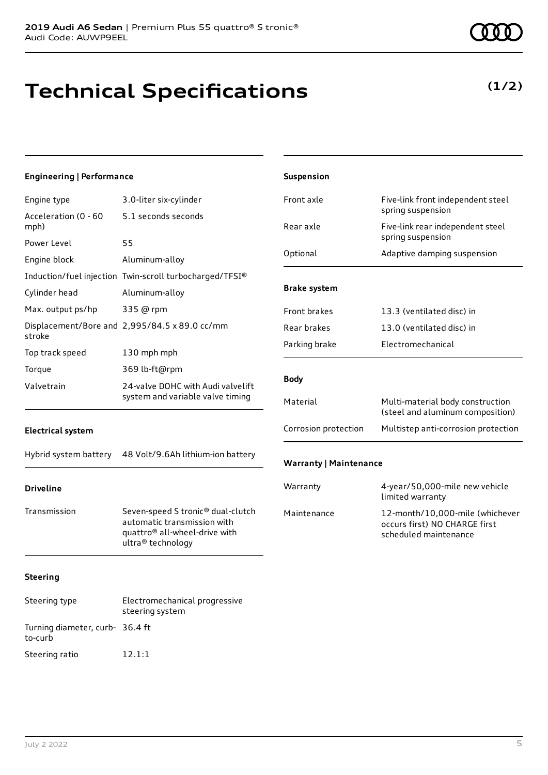### **Technical Specifications**

#### **(1/2)**

| <b>Engineering   Performance</b> |                                                                                                                                    | Suspension                    |                                                                                           |
|----------------------------------|------------------------------------------------------------------------------------------------------------------------------------|-------------------------------|-------------------------------------------------------------------------------------------|
| Engine type                      | 3.0-liter six-cylinder                                                                                                             | Front axle                    | Five-link front independent steel                                                         |
| Acceleration (0 - 60<br>mph)     | 5.1 seconds seconds                                                                                                                | Rear axle                     | spring suspension<br>Five-link rear independent steel                                     |
| Power Level                      | 55                                                                                                                                 |                               | spring suspension                                                                         |
| Engine block                     | Aluminum-alloy                                                                                                                     | Optional                      | Adaptive damping suspension                                                               |
|                                  | Induction/fuel injection Twin-scroll turbocharged/TFSI®                                                                            |                               |                                                                                           |
| Cylinder head                    | Aluminum-alloy                                                                                                                     | <b>Brake system</b>           |                                                                                           |
| Max. output ps/hp                | 335 @ rpm                                                                                                                          | Front brakes                  | 13.3 (ventilated disc) in                                                                 |
| stroke                           | Displacement/Bore and 2,995/84.5 x 89.0 cc/mm                                                                                      | Rear brakes                   | 13.0 (ventilated disc) in                                                                 |
| Top track speed                  | 130 mph mph                                                                                                                        | Parking brake                 | Electromechanical                                                                         |
| Torque                           | 369 lb-ft@rpm                                                                                                                      |                               |                                                                                           |
| Valvetrain                       | 24-valve DOHC with Audi valvelift<br>system and variable valve timing                                                              | <b>Body</b>                   |                                                                                           |
|                                  |                                                                                                                                    | Material                      | Multi-material body construction<br>(steel and aluminum composition)                      |
| <b>Electrical system</b>         |                                                                                                                                    | Corrosion protection          | Multistep anti-corrosion protection                                                       |
| Hybrid system battery            | 48 Volt/9.6Ah lithium-ion battery                                                                                                  | <b>Warranty   Maintenance</b> |                                                                                           |
| <b>Driveline</b>                 |                                                                                                                                    | Warranty                      | 4-year/50,000-mile new vehicle<br>limited warranty                                        |
| Transmission                     | Seven-speed S tronic® dual-clutch<br>automatic transmission with<br>quattro <sup>®</sup> all-wheel-drive with<br>ultra® technology | Maintenance                   | 12-month/10,000-mile (whichever<br>occurs first) NO CHARGE first<br>scheduled maintenance |
| <b>Steering</b>                  |                                                                                                                                    |                               |                                                                                           |
| Steering type                    | Electromechanical progressive<br>steering system                                                                                   |                               |                                                                                           |

to-curb

Turning diameter, curb-36.4 ft

Steering ratio 12.1:1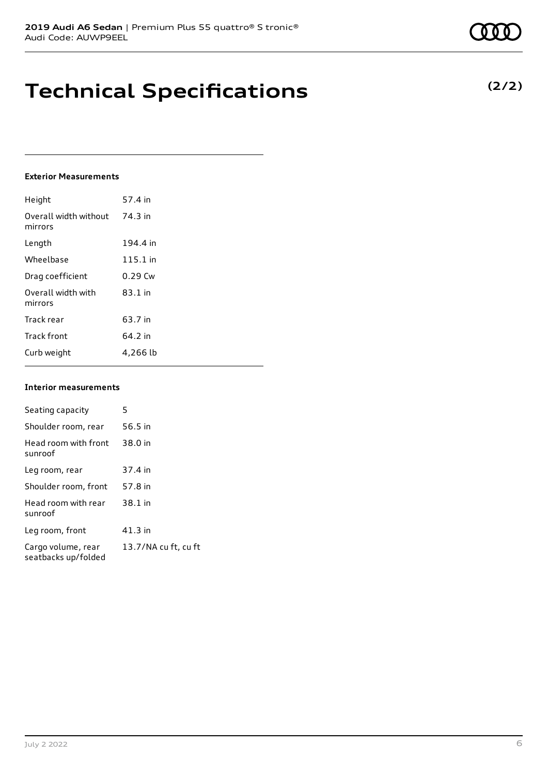### **Technical Specifications**

#### **Exterior Measurements**

| Height                           | 57.4 in   |
|----------------------------------|-----------|
| Overall width without<br>mirrors | 74.3 in   |
| Length                           | 194.4 in  |
| Wheelbase                        | 115.1 in  |
| Drag coefficient                 | $0.29$ Cw |
| Overall width with<br>mirrors    | $83.1$ in |
| Track rear                       | 63.7 in   |
| <b>Track front</b>               | 64.2 in   |
| Curb weight                      | 4,266 lb  |

#### **Interior measurements**

| Seating capacity                          | 5                    |
|-------------------------------------------|----------------------|
|                                           |                      |
| Shoulder room, rear                       | 56.5 in              |
| Head room with front<br>sunroof           | 38.0 in              |
| Leg room, rear                            | 37.4 in              |
| Shoulder room, front                      | 57.8 in              |
| Head room with rear<br>sunroof            | 38.1 in              |
| Leg room, front                           | 41.3 in              |
| Cargo volume, rear<br>seatbacks up/folded | 13.7/NA cu ft, cu ft |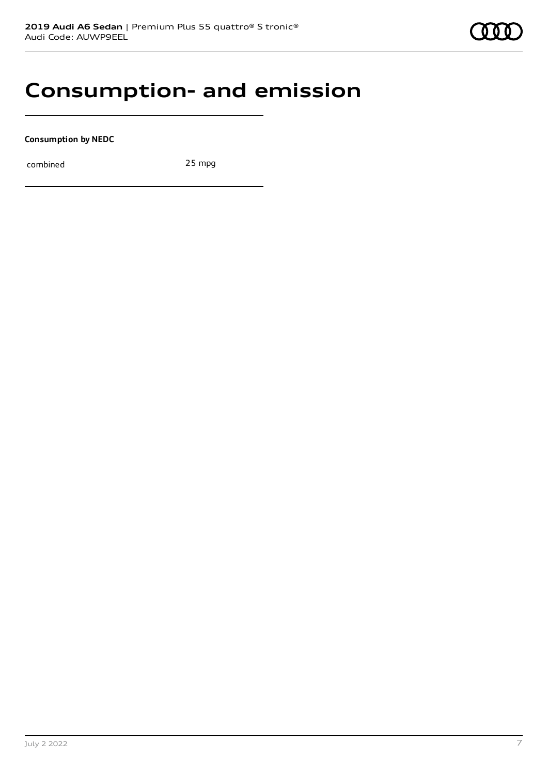### **Consumption- and emission**

**Consumption by NEDC**

combined 25 mpg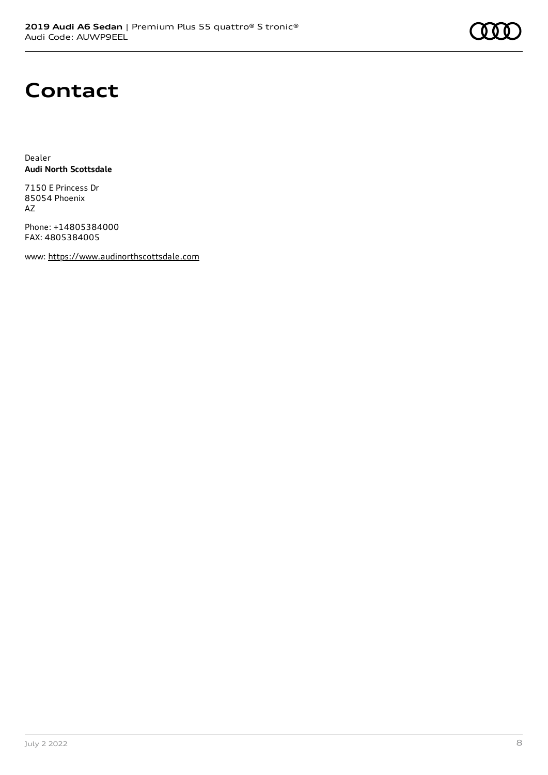### **Contact**

Dealer **Audi North Scottsdale**

7150 E Princess Dr 85054 Phoenix AZ

Phone: +14805384000 FAX: 4805384005

www: [https://www.audinorthscottsdale.com](https://www.audinorthscottsdale.com/)